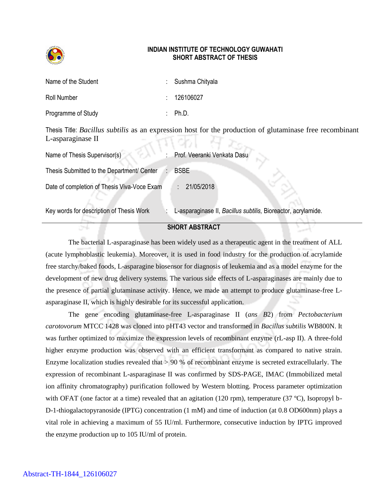

## **INDIAN INSTITUTE OF TECHNOLOGY GUWAHATI SHORT ABSTRACT OF THESIS**

| Name of the Student | : Sushma Chityala |
|---------------------|-------------------|
| Roll Number         | : 126106027       |
| Programme of Study  | : $Ph.D.$         |

Thesis Title: *Bacillus subtilis* as an expression host for the production of glutaminase free recombinant L-asparaginase II  $\mathcal{A}$ mobl $H$  $\mathcal{B}$ 

| Name of Thesis Supervisor(s)                | Prof. Veeranki Venkata Dasu                                   |
|---------------------------------------------|---------------------------------------------------------------|
| Thesis Submitted to the Department/ Center  | <b>BSBE</b>                                                   |
| Date of completion of Thesis Viva-Voce Exam | 21/05/2018                                                    |
| Key words for description of Thesis Work    | L-asparaginase II, Bacillus subtilis, Bioreactor, acrylamide. |

## **SHORT ABSTRACT**

The bacterial L-asparaginase has been widely used as a therapeutic agent in the treatment of ALL (acute lymphoblastic leukemia). Moreover, it is used in food industry for the production of acrylamide free starchy/baked foods, L-asparagine biosensor for diagnosis of leukemia and as a model enzyme for the development of new drug delivery systems. The various side effects of L-asparaginases are mainly due to the presence of partial glutaminase activity. Hence, we made an attempt to produce glutaminase-free Lasparaginase II, which is highly desirable for its successful application.

The gene encoding glutaminase-free L-asparaginase II (*ans B*2) from *Pectobacterium carotovorum* MTCC 1428 was cloned into pHT43 vector and transformed in *Bacillus subtilis* WB800N. It was further optimized to maximize the expression levels of recombinant enzyme (rL-asp II). A three-fold higher enzyme production was observed with an efficient transformant as compared to native strain. Enzyme localization studies revealed that > 90 % of recombinant enzyme is secreted extracellularly. The expression of recombinant L-asparaginase II was confirmed by SDS-PAGE, IMAC (Immobilized metal ion affinity chromatography) purification followed by Western blotting. Process parameter optimization with OFAT (one factor at a time) revealed that an agitation (120 rpm), temperature (37 °C), Isopropyl b-D-1-thiogalactopyranoside (IPTG) concentration (1 mM) and time of induction (at 0.8 OD600nm) plays a vital role in achieving a maximum of 55 IU/ml. Furthermore, consecutive induction by IPTG improved the enzyme production up to 105 IU/ml of protein.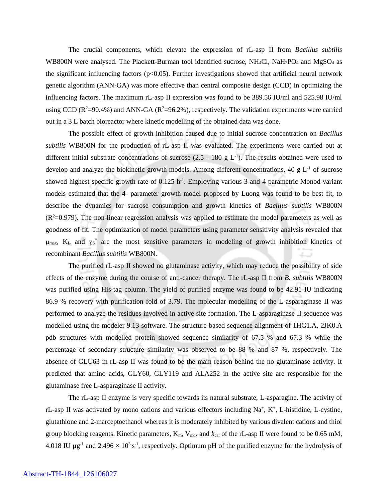The crucial components, which elevate the expression of rL-asp II from *Bacillus subtilis* WB800N were analysed. The Plackett-Burman tool identified sucrose,  $NH_4Cl$ ,  $NaH_2PO_4$  and  $MgSO_4$  as the significant influencing factors ( $p<0.05$ ). Further investigations showed that artificial neural network genetic algorithm (ANN-GA) was more effective than central composite design (CCD) in optimizing the influencing factors. The maximum rL-asp II expression was found to be 389.56 IU/ml and 525.98 IU/ml using CCD ( $R^2=90.4\%$ ) and ANN-GA ( $R^2=96.2\%$ ), respectively. The validation experiments were carried out in a 3 L batch bioreactor where kinetic modelling of the obtained data was done.

The possible effect of growth inhibition caused due to initial sucrose concentration on *Bacillus subtilis* WB800N for the production of rL-asp II was evaluated. The experiments were carried out at different initial substrate concentrations of sucrose  $(2.5 - 180 \text{ g L}^{-1})$ . The results obtained were used to develop and analyze the biokinetic growth models. Among different concentrations, 40 g  $L<sup>-1</sup>$  of sucrose showed highest specific growth rate of  $0.125$  h<sup>-1</sup>. Employing various 3 and 4 parametric Monod-variant models estimated that the 4- parameter growth model proposed by Luong was found to be best fit, to describe the dynamics for sucrose consumption and growth kinetics of *Bacillus subtilis* WB800N  $(R<sup>2</sup>=0.979)$ . The non-linear regression analysis was applied to estimate the model parameters as well as goodness of fit. The optimization of model parameters using parameter sensitivity analysis revealed that  $\mu_{\text{max}}$ , K<sub>I</sub>, and  $\gamma_s^*$  are the most sensitive parameters in modeling of growth inhibition kinetics of recombinant *Bacillus subtilis* WB800N.

The purified rL-asp II showed no glutaminase activity, which may reduce the possibility of side effects of the enzyme during the course of anti-cancer therapy. The rL-asp II from *B. subtilis* WB800N was purified using His-tag column. The yield of purified enzyme was found to be 42.91 IU indicating 86.9 % recovery with purification fold of 3.79. The molecular modelling of the L-asparaginase II was performed to analyze the residues involved in active site formation. The L-asparaginase II sequence was modelled using the modeler 9.13 software. The structure-based sequence alignment of 1HG1.A, 2JK0.A pdb structures with modelled protein showed sequence similarity of 67.5 % and 67.3 % while the percentage of secondary structure similarity was observed to be 88 % and 87 %, respectively. The absence of GLU63 in rL-asp II was found to be the main reason behind the no glutaminase activity. It predicted that amino acids, GLY60, GLY119 and ALA252 in the active site are responsible for the glutaminase free L-asparaginase II activity.

The rL-asp II enzyme is very specific towards its natural substrate, L-asparagine. The activity of rL-asp II was activated by mono cations and various effectors including Na<sup>+</sup>, K<sup>+</sup>, L-histidine, L-cystine, glutathione and 2-marceptoethanol whereas it is moderately inhibited by various divalent cations and thiol group blocking reagents. Kinetic parameters,  $K_m$ ,  $V_{max}$  and  $k_{cat}$  of the rL-asp II were found to be 0.65 mM, 4.018 IU  $\mu$ g<sup>-1</sup> and 2.496  $\times$  10<sup>3</sup> s<sup>-1</sup>, respectively. Optimum pH of the purified enzyme for the hydrolysis of